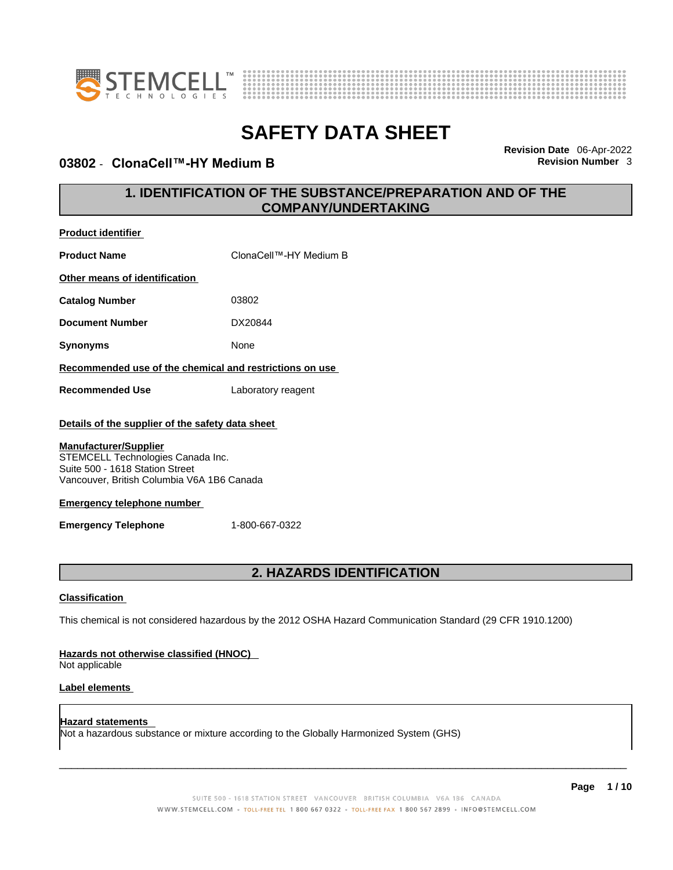

**Product identifier**



# **SAFETY DATA SHEET**

#### **03802** - **ClonaCell™-HY Medium B Revision Number** 3

**Revision Date** 06-Apr-2022

### **1. IDENTIFICATION OF THE SUBSTANCE/PREPARATION AND OF THE COMPANY/UNDERTAKING**

| <b>Product Name</b>                                                                                                                                                                                                                                                       | ClonaCell™-HY Medium B                                                                                      |
|---------------------------------------------------------------------------------------------------------------------------------------------------------------------------------------------------------------------------------------------------------------------------|-------------------------------------------------------------------------------------------------------------|
| Other means of identification                                                                                                                                                                                                                                             |                                                                                                             |
| <b>Catalog Number</b>                                                                                                                                                                                                                                                     | 03802                                                                                                       |
| <b>Document Number</b>                                                                                                                                                                                                                                                    | DX20844                                                                                                     |
| <b>Synonyms</b>                                                                                                                                                                                                                                                           | None                                                                                                        |
| Recommended use of the chemical and restrictions on use                                                                                                                                                                                                                   |                                                                                                             |
| <b>Recommended Use</b>                                                                                                                                                                                                                                                    | Laboratory reagent                                                                                          |
| Details of the supplier of the safety data sheet<br><b>Manufacturer/Supplier</b><br>STEMCELL Technologies Canada Inc.<br>Suite 500 - 1618 Station Street<br>Vancouver, British Columbia V6A 1B6 Canada<br><b>Emergency telephone number</b><br><b>Emergency Telephone</b> | 1-800-667-0322                                                                                              |
|                                                                                                                                                                                                                                                                           | 2. HAZARDS IDENTIFICATION                                                                                   |
| <b>Classification</b><br>Hazards not otherwise classified (HNOC)                                                                                                                                                                                                          | This chemical is not considered hazardous by the 2012 OSHA Hazard Communication Standard (29 CFR 1910.1200) |
|                                                                                                                                                                                                                                                                           |                                                                                                             |

Not applicable

#### **Label elements**

**Hazard statements**  Not a hazardous substance or mixture according to the Globally Harmonized System (GHS)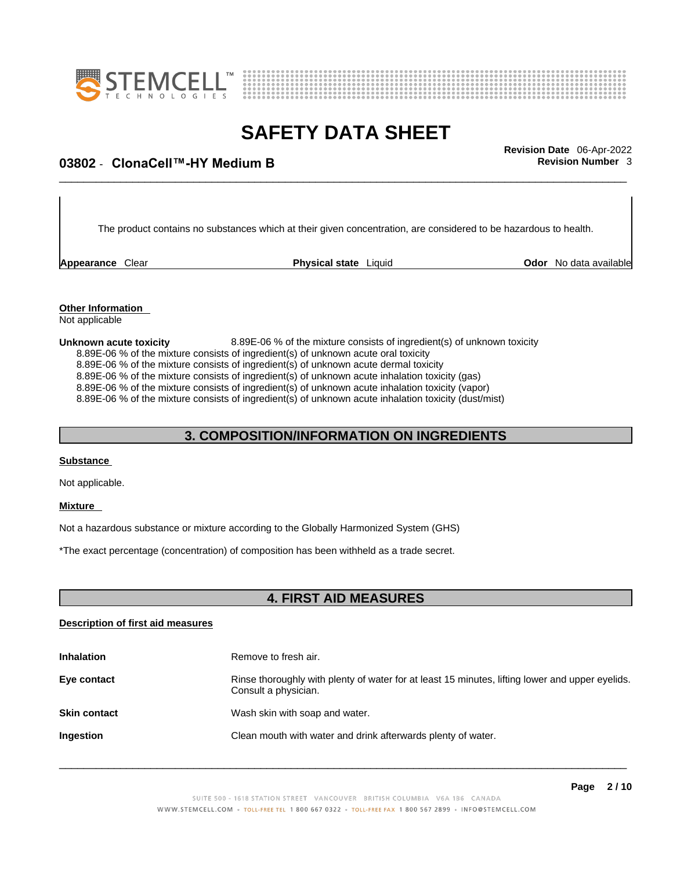



## \_\_\_\_\_\_\_\_\_\_\_\_\_\_\_\_\_\_\_\_\_\_\_\_\_\_\_\_\_\_\_\_\_\_\_\_\_\_\_\_\_\_\_\_\_\_\_\_\_\_\_\_\_\_\_\_\_\_\_\_\_\_\_\_\_\_\_\_\_\_\_\_\_\_\_\_\_\_\_\_\_\_\_\_\_\_\_\_\_\_\_\_\_ **Revision Date** 06-Apr-2022 **03802** - **ClonaCell™-HY Medium B Revision Number** 3

The product contains no substances which at their given concentration, are considered to be hazardous to health.

**Appearance Clear <b>Physical state** Liquid

**Odor** No data available

**Other Information**  Not applicable

**Unknown acute toxicity** 8.89E-06 % of the mixture consists of ingredient(s) of unknown toxicity 8.89E-06 % of the mixture consists of ingredient(s) of unknown acute oral toxicity 8.89E-06 % of the mixture consists of ingredient(s) of unknown acute dermal toxicity 8.89E-06 % of the mixture consists of ingredient(s) of unknown acute inhalation toxicity (gas) 8.89E-06 % of the mixture consists of ingredient(s) of unknown acute inhalation toxicity (vapor) 8.89E-06 % of the mixture consists of ingredient(s) of unknown acute inhalation toxicity (dust/mist)

### **3. COMPOSITION/INFORMATION ON INGREDIENTS**

#### **Substance**

Not applicable.

#### **Mixture**

Not a hazardous substance or mixture according to the Globally Harmonized System (GHS)

\*The exact percentage (concentration) of composition has been withheld as a trade secret.

#### **4. FIRST AID MEASURES**

#### **Description of first aid measures**

| <b>Inhalation</b>   | Remove to fresh air.                                                                                                    |
|---------------------|-------------------------------------------------------------------------------------------------------------------------|
| Eye contact         | Rinse thoroughly with plenty of water for at least 15 minutes, lifting lower and upper eyelids.<br>Consult a physician. |
| <b>Skin contact</b> | Wash skin with soap and water.                                                                                          |
| Ingestion           | Clean mouth with water and drink afterwards plenty of water.                                                            |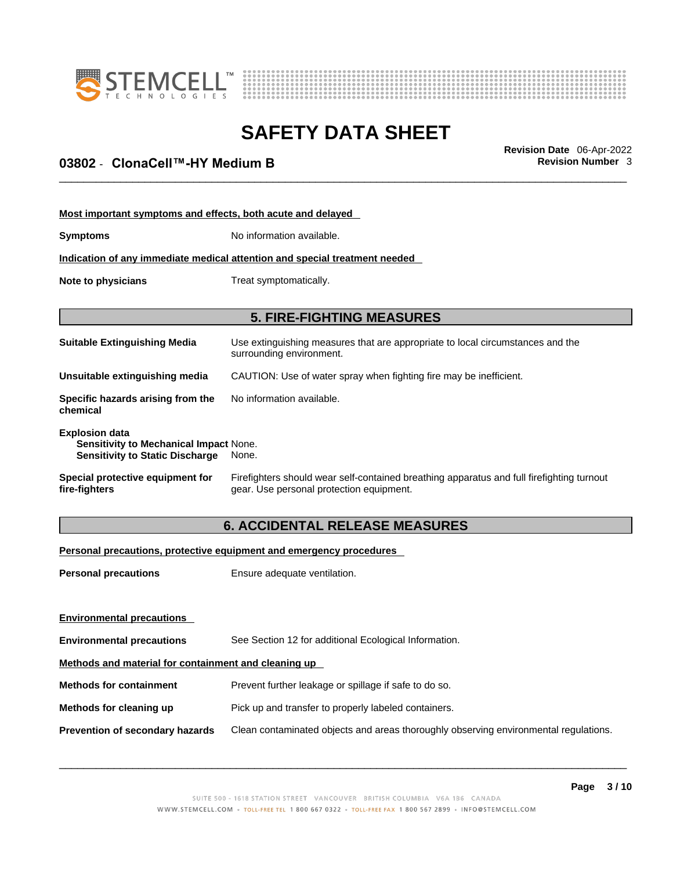



## \_\_\_\_\_\_\_\_\_\_\_\_\_\_\_\_\_\_\_\_\_\_\_\_\_\_\_\_\_\_\_\_\_\_\_\_\_\_\_\_\_\_\_\_\_\_\_\_\_\_\_\_\_\_\_\_\_\_\_\_\_\_\_\_\_\_\_\_\_\_\_\_\_\_\_\_\_\_\_\_\_\_\_\_\_\_\_\_\_\_\_\_\_ **Revision Date** 06-Apr-2022 **03802** - **ClonaCell™-HY Medium B Revision Number** 3

| Most important symptoms and effects, both acute and delayed                                                      |                                                                                                                                       |
|------------------------------------------------------------------------------------------------------------------|---------------------------------------------------------------------------------------------------------------------------------------|
| <b>Symptoms</b>                                                                                                  | No information available.                                                                                                             |
|                                                                                                                  | Indication of any immediate medical attention and special treatment needed                                                            |
| Note to physicians                                                                                               | Treat symptomatically.                                                                                                                |
|                                                                                                                  |                                                                                                                                       |
|                                                                                                                  | <b>5. FIRE-FIGHTING MEASURES</b>                                                                                                      |
| <b>Suitable Extinguishing Media</b>                                                                              | Use extinguishing measures that are appropriate to local circumstances and the<br>surrounding environment.                            |
| Unsuitable extinguishing media                                                                                   | CAUTION: Use of water spray when fighting fire may be inefficient.                                                                    |
| Specific hazards arising from the<br>chemical                                                                    | No information available.                                                                                                             |
| <b>Explosion data</b><br><b>Sensitivity to Mechanical Impact None.</b><br><b>Sensitivity to Static Discharge</b> | None.                                                                                                                                 |
| Special protective equipment for<br>fire-fighters                                                                | Firefighters should wear self-contained breathing apparatus and full firefighting turnout<br>gear. Use personal protection equipment. |

### **6. ACCIDENTAL RELEASE MEASURES**

#### **Personal precautions, protective equipment and emergency procedures**

| <b>Personal precautions</b>                          | Ensure adequate ventilation.                                                         |
|------------------------------------------------------|--------------------------------------------------------------------------------------|
|                                                      |                                                                                      |
| <b>Environmental precautions</b>                     |                                                                                      |
| <b>Environmental precautions</b>                     | See Section 12 for additional Ecological Information.                                |
| Methods and material for containment and cleaning up |                                                                                      |
| <b>Methods for containment</b>                       | Prevent further leakage or spillage if safe to do so.                                |
| Methods for cleaning up                              | Pick up and transfer to properly labeled containers.                                 |
| Prevention of secondary hazards                      | Clean contaminated objects and areas thoroughly observing environmental regulations. |
|                                                      |                                                                                      |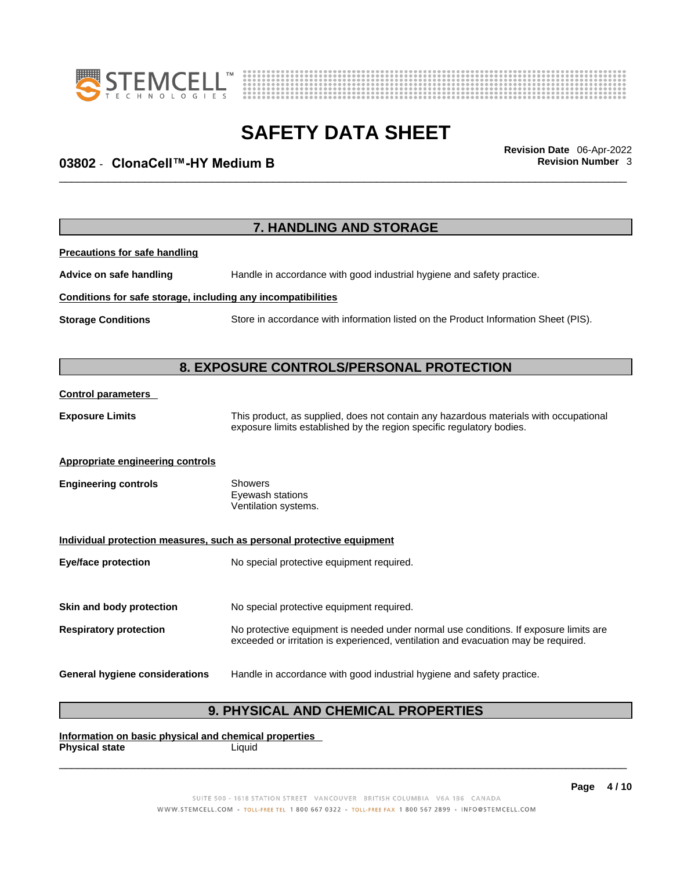



## \_\_\_\_\_\_\_\_\_\_\_\_\_\_\_\_\_\_\_\_\_\_\_\_\_\_\_\_\_\_\_\_\_\_\_\_\_\_\_\_\_\_\_\_\_\_\_\_\_\_\_\_\_\_\_\_\_\_\_\_\_\_\_\_\_\_\_\_\_\_\_\_\_\_\_\_\_\_\_\_\_\_\_\_\_\_\_\_\_\_\_\_\_ **Revision Date** 06-Apr-2022 **03802** - **ClonaCell™-HY Medium B Revision Number** 3

|                                                              | 7. HANDLING AND STORAGE                                                                                                                                                     |
|--------------------------------------------------------------|-----------------------------------------------------------------------------------------------------------------------------------------------------------------------------|
| <b>Precautions for safe handling</b>                         |                                                                                                                                                                             |
| Advice on safe handling                                      | Handle in accordance with good industrial hygiene and safety practice.                                                                                                      |
| Conditions for safe storage, including any incompatibilities |                                                                                                                                                                             |
| <b>Storage Conditions</b>                                    | Store in accordance with information listed on the Product Information Sheet (PIS).                                                                                         |
|                                                              | 8. EXPOSURE CONTROLS/PERSONAL PROTECTION                                                                                                                                    |
| <b>Control parameters</b>                                    |                                                                                                                                                                             |
| <b>Exposure Limits</b>                                       | This product, as supplied, does not contain any hazardous materials with occupational<br>exposure limits established by the region specific regulatory bodies.              |
| <b>Appropriate engineering controls</b>                      |                                                                                                                                                                             |
| <b>Engineering controls</b>                                  | Showers<br>Eyewash stations<br>Ventilation systems.                                                                                                                         |
|                                                              | Individual protection measures, such as personal protective equipment                                                                                                       |
| <b>Eye/face protection</b>                                   | No special protective equipment required.                                                                                                                                   |
| Skin and body protection                                     | No special protective equipment required.                                                                                                                                   |
| <b>Respiratory protection</b>                                | No protective equipment is needed under normal use conditions. If exposure limits are<br>exceeded or irritation is experienced, ventilation and evacuation may be required. |
| <b>General hygiene considerations</b>                        | Handle in accordance with good industrial hygiene and safety practice.                                                                                                      |

### **9. PHYSICAL AND CHEMICAL PROPERTIES**

**Information on basic physical and chemical properties Physical state** Liquid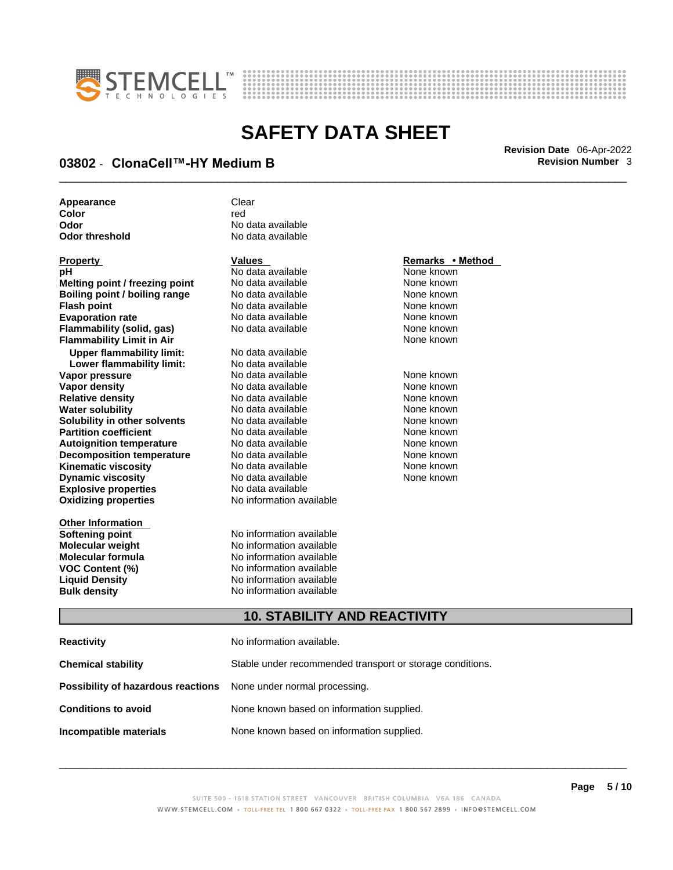



## \_\_\_\_\_\_\_\_\_\_\_\_\_\_\_\_\_\_\_\_\_\_\_\_\_\_\_\_\_\_\_\_\_\_\_\_\_\_\_\_\_\_\_\_\_\_\_\_\_\_\_\_\_\_\_\_\_\_\_\_\_\_\_\_\_\_\_\_\_\_\_\_\_\_\_\_\_\_\_\_\_\_\_\_\_\_\_\_\_\_\_\_\_ **Revision Date** 06-Apr-2022 **03802** - **ClonaCell™-HY Medium B Revision Number** 3

| Appearance     | Clear             |
|----------------|-------------------|
| Color          | red               |
| Odor           | No data available |
| Odor threshold | No data available |

| Property                             |
|--------------------------------------|
| рH                                   |
| Melting point / freezing point       |
| <b>Boiling point / boiling range</b> |
| <b>Flash point</b>                   |
| <b>Evaporation rate</b>              |
| Flammability (solid, gas)            |
| <b>Flammability Limit in Air</b>     |
| <b>Upper flammability limit:</b>     |
| Lower flammability limit:            |
| Vapor pressure                       |
| Vapor density                        |
| <b>Relative density</b>              |
| Water solubility                     |
| <b>Solubility in other solvents</b>  |
| <b>Partition coefficient</b>         |
| <b>Autoignition temperature</b>      |
| <b>Decomposition temperature</b>     |
| Kinematic viscosity                  |
| <b>Dynamic viscosity</b>             |
| <b>Explosive properties</b>          |
| <b>Oxidizing properties</b>          |
|                                      |

**Other Information** 

**No data available** None known **No data available None known Roidata available 1999 Mone known**<br> **Boiling** None known<br> **Roidata available None known No data available Evaporation No data available None known**<br> **Evaporation** None known<br>
None known **No data available** 

**Explosive properties** No data available **Oxidizing properties** No information available **No data available Lower flammability limit:** No data available **Vapora Available None known**<br> **Pressure No data available None known**<br>
None known **Vapor density Available** None known<br>
No data available None known **No data available No data available None known Solution Islam in Solution None known** None known **Partition Partition Coefficient Coefficient Coefficient Coefficient Coefficient Coefficient Coefficient Coefficient Coefficient Coefficient Coefficient Coefficient Coefficient Coefficient C Automische Munder None known**<br> **Automische None known**<br>
None known **No data available** No data available **None known** No data available None known

**Softening point**<br> **Molecular weight**<br> **Molecular weight**<br> **Molecular weight**<br> **Molecular weight No information available Molecular formula** No information available **VOC Content (%)**<br>
Liquid Density<br>
No information available<br>
No information available **No information available Bulk density No information available** 

#### **Property Values Remarks • Method**

**Flammability Limit in Air** None known

#### **10. STABILITY AND REACTIVITY**

| Reactivity                                                              | No information available.                                 |
|-------------------------------------------------------------------------|-----------------------------------------------------------|
| Chemical stability                                                      | Stable under recommended transport or storage conditions. |
| <b>Possibility of hazardous reactions</b> None under normal processing. |                                                           |
| <b>Conditions to avoid</b>                                              | None known based on information supplied.                 |
| Incompatible materials                                                  | None known based on information supplied.                 |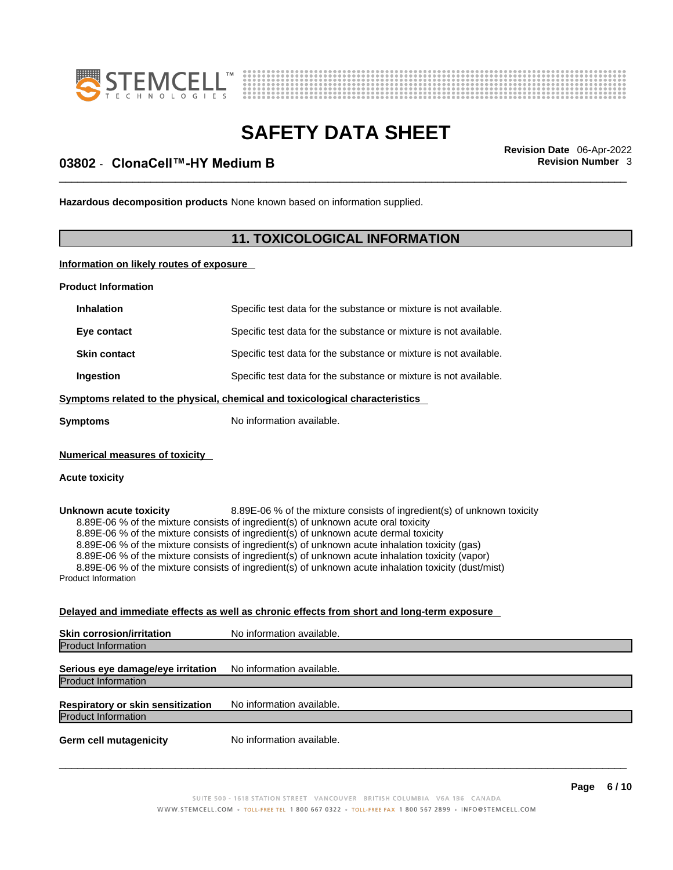



## \_\_\_\_\_\_\_\_\_\_\_\_\_\_\_\_\_\_\_\_\_\_\_\_\_\_\_\_\_\_\_\_\_\_\_\_\_\_\_\_\_\_\_\_\_\_\_\_\_\_\_\_\_\_\_\_\_\_\_\_\_\_\_\_\_\_\_\_\_\_\_\_\_\_\_\_\_\_\_\_\_\_\_\_\_\_\_\_\_\_\_\_\_ **Revision Date** 06-Apr-2022 **03802** - **ClonaCell™-HY Medium B Revision Number** 3

**Hazardous decomposition products** None known based on information supplied.

#### **11. TOXICOLOGICAL INFORMATION**

**Information on likely routes of exposure**

**Product Information**

| <b>Inhalation</b>                                       | Specific test data for the substance or mixture is not available.            |
|---------------------------------------------------------|------------------------------------------------------------------------------|
| Eye contact                                             | Specific test data for the substance or mixture is not available.            |
| <b>Skin contact</b>                                     | Specific test data for the substance or mixture is not available.            |
| Ingestion                                               | Specific test data for the substance or mixture is not available.            |
|                                                         | Symptoms related to the physical, chemical and toxicological characteristics |
| Symptoms                                                | No information available.                                                    |
| <b>Numerical measures of toxicity</b><br>Acute toxicity |                                                                              |
| Unknown acute toxicity                                  | 8.89E-06 % of the mixture consists of ingredient(s) of unknown toxicity      |

8.89E-06 % of the mixture consists of ingredient(s) of unknown acute oral toxicity 8.89E-06 % of the mixture consists of ingredient(s) of unknown acute dermal toxicity 8.89E-06 % of the mixture consists of ingredient(s) of unknown acute inhalation toxicity (gas) 8.89E-06 % of the mixture consists of ingredient(s) of unknown acute inhalation toxicity (vapor) 8.89E-06 % of the mixture consists of ingredient(s) of unknown acute inhalation toxicity (dust/mist) Product Information

#### **Delayed and immediate effects as well as chronic effects from short and long-term exposure**

| <b>Skin corrosion/irritation</b>                                       | No information available. |
|------------------------------------------------------------------------|---------------------------|
| <b>Product Information</b>                                             |                           |
| Serious eye damage/eye irritation<br><b>Product Information</b>        | No information available. |
| <b>Respiratory or skin sensitization</b><br><b>Product Information</b> | No information available. |
| <b>Germ cell mutagenicity</b>                                          | No information available. |
|                                                                        |                           |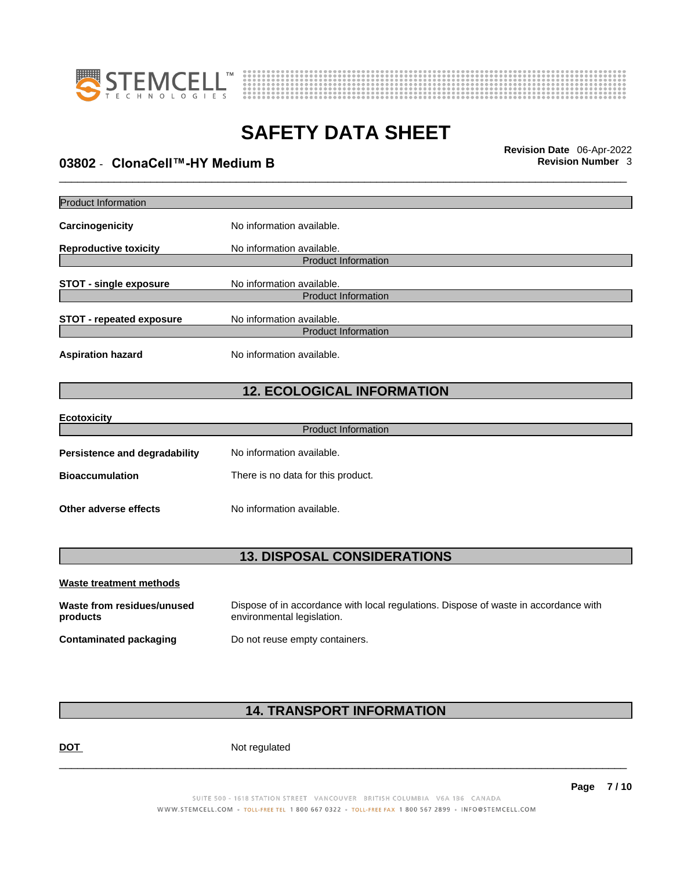



## \_\_\_\_\_\_\_\_\_\_\_\_\_\_\_\_\_\_\_\_\_\_\_\_\_\_\_\_\_\_\_\_\_\_\_\_\_\_\_\_\_\_\_\_\_\_\_\_\_\_\_\_\_\_\_\_\_\_\_\_\_\_\_\_\_\_\_\_\_\_\_\_\_\_\_\_\_\_\_\_\_\_\_\_\_\_\_\_\_\_\_\_\_ **Revision Date** 06-Apr-2022 **03802** - **ClonaCell™-HY Medium B Revision Number** 3

| <b>Product Information</b>           |                                    |  |
|--------------------------------------|------------------------------------|--|
| Carcinogenicity                      | No information available.          |  |
| <b>Reproductive toxicity</b>         | No information available.          |  |
|                                      | <b>Product Information</b>         |  |
| <b>STOT - single exposure</b>        | No information available.          |  |
|                                      | <b>Product Information</b>         |  |
| <b>STOT - repeated exposure</b>      | No information available.          |  |
|                                      | <b>Product Information</b>         |  |
| <b>Aspiration hazard</b>             | No information available.          |  |
|                                      | <b>12. ECOLOGICAL INFORMATION</b>  |  |
| <b>Ecotoxicity</b>                   |                                    |  |
|                                      | <b>Product Information</b>         |  |
| <b>Persistence and degradability</b> | No information available.          |  |
| <b>Bioaccumulation</b>               | There is no data for this product. |  |
| Other adverse effects                | No information available.          |  |
|                                      |                                    |  |
|                                      | <b>13. DISPOSAL CONSIDERATIONS</b> |  |
| <b>Waste treatment methods</b>       |                                    |  |

| Waste from residues/unused | Dispose of in accordance with local regulations. Dispose of waste in accordance with |
|----------------------------|--------------------------------------------------------------------------------------|
| products                   | environmental legislation.                                                           |
| Contaminated packaging     | Do not reuse empty containers.                                                       |

### **14. TRANSPORT INFORMATION**

DOT Not regulated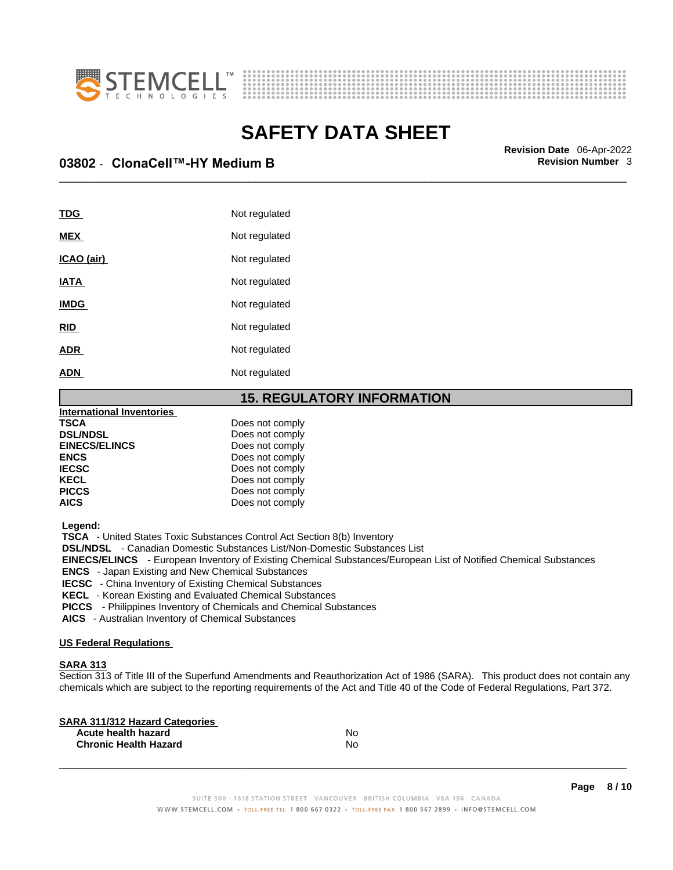



\_\_\_\_\_\_\_\_\_\_\_\_\_\_\_\_\_\_\_\_\_\_\_\_\_\_\_\_\_\_\_\_\_\_\_\_\_\_\_\_\_\_\_\_\_\_\_\_\_\_\_\_\_\_\_\_\_\_\_\_\_\_\_\_\_\_\_\_\_\_\_\_\_\_\_\_\_\_\_\_\_\_\_\_\_\_\_\_\_\_\_\_\_ **Revision Date** 06-Apr-2022 **03802** - **ClonaCell™-HY Medium B Revision Number** 3

| TDG         | Not regulated |
|-------------|---------------|
| <b>MEX</b>  | Not regulated |
| ICAO (air)  | Not regulated |
| <b>IATA</b> | Not regulated |
| <b>IMDG</b> | Not regulated |
| <b>RID</b>  | Not regulated |
| <b>ADR</b>  | Not regulated |
| <b>ADN</b>  | Not regulated |
|             |               |

#### **15. REGULATORY INFORMATION**

| International Inventories |                 |  |
|---------------------------|-----------------|--|
| <b>TSCA</b>               | Does not comply |  |
| <b>DSL/NDSL</b>           | Does not comply |  |
| <b>EINECS/ELINCS</b>      | Does not comply |  |
| <b>ENCS</b>               | Does not comply |  |
| <b>IECSC</b>              | Does not comply |  |
| <b>KECL</b>               | Does not comply |  |
| <b>PICCS</b>              | Does not comply |  |
| <b>AICS</b>               | Does not comply |  |
|                           |                 |  |

 **Legend:** 

 **TSCA** - United States Toxic Substances Control Act Section 8(b) Inventory

 **DSL/NDSL** - Canadian Domestic Substances List/Non-Domestic Substances List

 **EINECS/ELINCS** - European Inventory of Existing Chemical Substances/European List of Notified Chemical Substances

 **ENCS** - Japan Existing and New Chemical Substances

 **IECSC** - China Inventory of Existing Chemical Substances

 **KECL** - Korean Existing and Evaluated Chemical Substances

 **PICCS** - Philippines Inventory of Chemicals and Chemical Substances

 **AICS** - Australian Inventory of Chemical Substances

#### **US Federal Regulations**

#### **SARA 313**

Section 313 of Title III of the Superfund Amendments and Reauthorization Act of 1986 (SARA). This product does not contain any chemicals which are subject to the reporting requirements of the Act and Title 40 of the Code of Federal Regulations, Part 372.

| No |  |
|----|--|
| N٥ |  |
|    |  |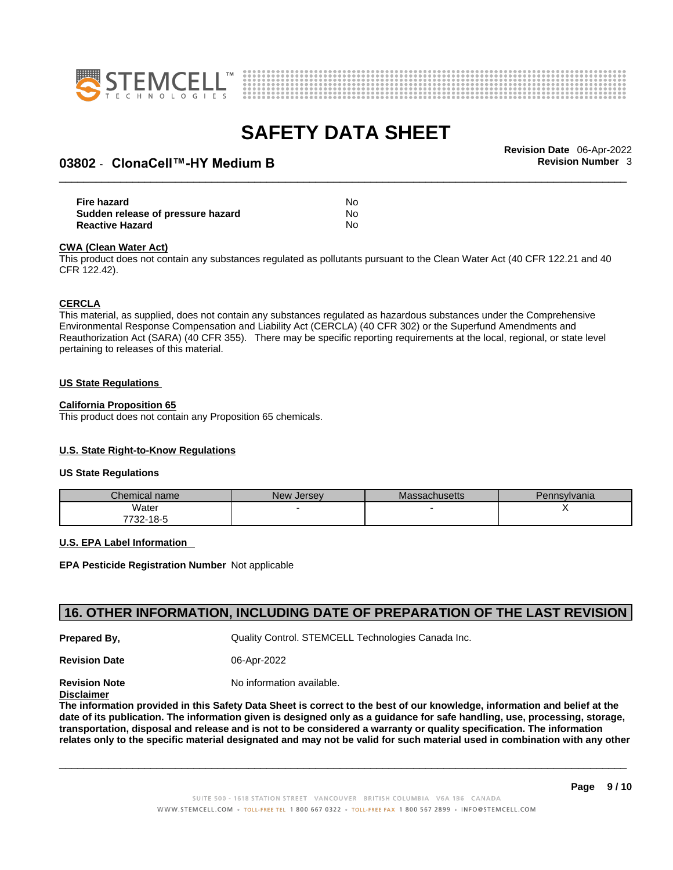



## \_\_\_\_\_\_\_\_\_\_\_\_\_\_\_\_\_\_\_\_\_\_\_\_\_\_\_\_\_\_\_\_\_\_\_\_\_\_\_\_\_\_\_\_\_\_\_\_\_\_\_\_\_\_\_\_\_\_\_\_\_\_\_\_\_\_\_\_\_\_\_\_\_\_\_\_\_\_\_\_\_\_\_\_\_\_\_\_\_\_\_\_\_ **Revision Date** 06-Apr-2022 **03802** - **ClonaCell™-HY Medium B Revision Number** 3

| Fire hazard                       | No. |  |
|-----------------------------------|-----|--|
| Sudden release of pressure hazard | No. |  |
| <b>Reactive Hazard</b>            | No  |  |

#### **CWA** (Clean Water Act)

This product does not contain any substances regulated as pollutants pursuant to the Clean Water Act (40 CFR 122.21 and 40 CFR 122.42).

#### **CERCLA**

This material, as supplied, does not contain any substances regulated as hazardous substances under the Comprehensive Environmental Response Compensation and Liability Act (CERCLA) (40 CFR 302) or the Superfund Amendments and Reauthorization Act (SARA) (40 CFR 355). There may be specific reporting requirements at the local, regional, or state level pertaining to releases of this material.

#### **US State Regulations**

#### **California Proposition 65**

This product does not contain any Proposition 65 chemicals.

#### **U.S. State Right-to-Know Regulations**

#### **US State Regulations**

| Chemical name     | New<br><b>Jersey</b> | <b>Massachusetts</b> | Pennsylvania |
|-------------------|----------------------|----------------------|--------------|
| Water             |                      |                      |              |
| 7700.<br>732-18-5 |                      |                      |              |

#### **U.S. EPA Label Information**

**EPA Pesticide Registration Number** Not applicable

#### **16. OTHER INFORMATION, INCLUDING DATE OF PREPARATION OF THE LAST REVISION**

**Prepared By, Cuality Control. STEMCELL Technologies Canada Inc.** 

**Revision Date** 06-Apr-2022

**Revision Note** Noinformation available.

**Disclaimer**

The information provided in this Safety Data Sheet is correct to the best of our knowledge, information and belief at the date of its publication. The information given is designed only as a guidance for safe handling, use, processing, storage, transportation, disposal and release and is not to be considered a warranty or quality specification. The information relates only to the specific material designated and may not be valid for such material used in combination with any other